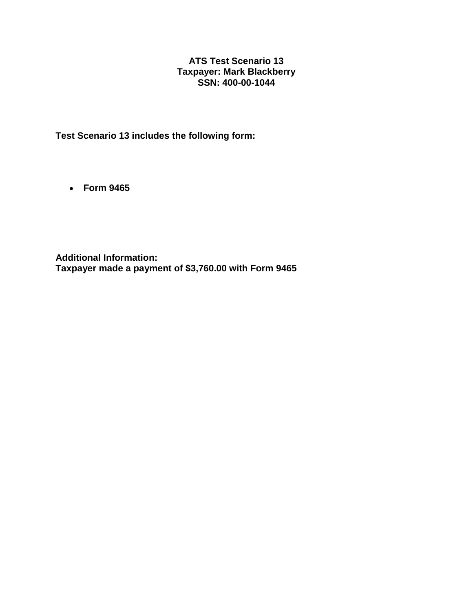## **ATS Test Scenario 13 Taxpayer: Mark Blackberry SSN: 400-00-1044**

**Test Scenario 13 includes the following form:**

• **Form 9465**

**Additional Information: Taxpayer made a payment of \$3,760.00 with Form 9465**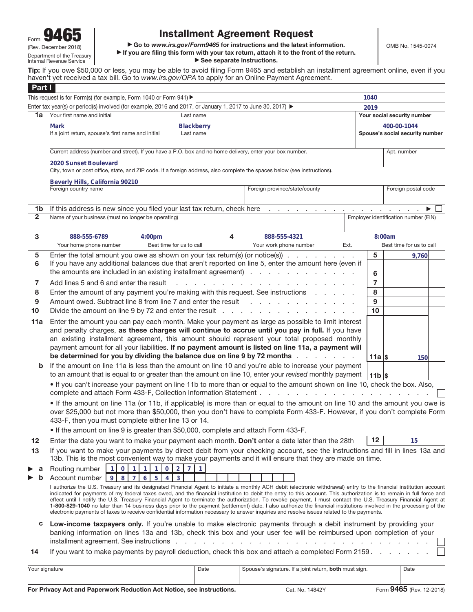**ighthere** and *I***<sub>1</sub> and** *L***<sub>1</sub> and** *L***<sub>1</sub> and** *L***<sub>1</sub> and** *L***<sub>1</sub> and** *L***<sub>1</sub> and** *L***<sub>1</sub> and** *L***<sub>1</sub> and** *L***<sub>1</sub> and** *L***<sub>1</sub> and** *L***<sub>1</sub> and** *L***<sub>1</sub> and** *L***<sub>1</sub> and** *L***<sub>1</sub> and** *L***<sub>1</sub> and** *L***<sub>1</sub> and** *L***<sub>1</sub> and** *L***<sub>1</sub> and** *L***<sub>1</sub>** 

▶ If you are filing this form with your tax return, attach it to the front of the return. **> See separate instructions.** 

**Tip:** If you owe \$50,000 or less, you may be able to avoid filing Form 9465 and establish an installment agreement online, even if you haven't yet received a tax bill. Go to www.irs.gov/OPA to apply for an Online Payment Agreement.

| Part I         |                                                                                                                                                                                                                                                                                                                                                                                                                                                                                                                                                                                                                                                                                                                                                                                                                                                                                                                              |            |                            |                                                        |                                 |                             |        |                                      |  |  |
|----------------|------------------------------------------------------------------------------------------------------------------------------------------------------------------------------------------------------------------------------------------------------------------------------------------------------------------------------------------------------------------------------------------------------------------------------------------------------------------------------------------------------------------------------------------------------------------------------------------------------------------------------------------------------------------------------------------------------------------------------------------------------------------------------------------------------------------------------------------------------------------------------------------------------------------------------|------------|----------------------------|--------------------------------------------------------|---------------------------------|-----------------------------|--------|--------------------------------------|--|--|
|                | This request is for Form(s) (for example, Form 1040 or Form 941) ▶                                                                                                                                                                                                                                                                                                                                                                                                                                                                                                                                                                                                                                                                                                                                                                                                                                                           |            |                            |                                                        |                                 | 1040                        |        |                                      |  |  |
|                | Enter tax year(s) or period(s) involved (for example, 2016 and 2017, or January 1, 2017 to June 30, 2017) ►                                                                                                                                                                                                                                                                                                                                                                                                                                                                                                                                                                                                                                                                                                                                                                                                                  |            |                            |                                                        |                                 | 2019                        |        |                                      |  |  |
| 1a             | Your first name and initial                                                                                                                                                                                                                                                                                                                                                                                                                                                                                                                                                                                                                                                                                                                                                                                                                                                                                                  | Last name  |                            |                                                        |                                 | Your social security number |        |                                      |  |  |
|                | Mark                                                                                                                                                                                                                                                                                                                                                                                                                                                                                                                                                                                                                                                                                                                                                                                                                                                                                                                         | Blackberry |                            |                                                        |                                 |                             |        | 400-00-1044                          |  |  |
|                | If a joint return, spouse's first name and initial                                                                                                                                                                                                                                                                                                                                                                                                                                                                                                                                                                                                                                                                                                                                                                                                                                                                           | Last name  |                            |                                                        | Spouse's social security number |                             |        |                                      |  |  |
|                | Current address (number and street). If you have a P.O. box and no home delivery, enter your box number.                                                                                                                                                                                                                                                                                                                                                                                                                                                                                                                                                                                                                                                                                                                                                                                                                     |            |                            |                                                        |                                 | Apt. number                 |        |                                      |  |  |
|                | 2020 Sunset Boulevard<br>City, town or post office, state, and ZIP code. If a foreign address, also complete the spaces below (see instructions).<br>Beverly Hills, California 90210                                                                                                                                                                                                                                                                                                                                                                                                                                                                                                                                                                                                                                                                                                                                         |            |                            |                                                        |                                 |                             |        |                                      |  |  |
|                |                                                                                                                                                                                                                                                                                                                                                                                                                                                                                                                                                                                                                                                                                                                                                                                                                                                                                                                              |            |                            |                                                        |                                 |                             |        |                                      |  |  |
|                |                                                                                                                                                                                                                                                                                                                                                                                                                                                                                                                                                                                                                                                                                                                                                                                                                                                                                                                              |            |                            |                                                        |                                 |                             |        |                                      |  |  |
|                | Foreign country name                                                                                                                                                                                                                                                                                                                                                                                                                                                                                                                                                                                                                                                                                                                                                                                                                                                                                                         |            |                            | Foreign province/state/county                          |                                 |                             |        | Foreign postal code                  |  |  |
| 1b             | If this address is new since you filed your last tax return, check here                                                                                                                                                                                                                                                                                                                                                                                                                                                                                                                                                                                                                                                                                                                                                                                                                                                      |            | $\sim$<br>$\sim$ 100 $\pm$ |                                                        |                                 |                             |        |                                      |  |  |
| $\overline{2}$ | Name of your business (must no longer be operating)                                                                                                                                                                                                                                                                                                                                                                                                                                                                                                                                                                                                                                                                                                                                                                                                                                                                          |            |                            |                                                        |                                 |                             |        | Employer identification number (EIN) |  |  |
|                |                                                                                                                                                                                                                                                                                                                                                                                                                                                                                                                                                                                                                                                                                                                                                                                                                                                                                                                              |            |                            |                                                        |                                 |                             |        |                                      |  |  |
| 3              | 888-555-6789<br>4:00 <sub>pm</sub>                                                                                                                                                                                                                                                                                                                                                                                                                                                                                                                                                                                                                                                                                                                                                                                                                                                                                           |            |                            | 4<br>888-555-4321                                      |                                 |                             | 8:00am |                                      |  |  |
|                | Your home phone number<br>Best time for us to call                                                                                                                                                                                                                                                                                                                                                                                                                                                                                                                                                                                                                                                                                                                                                                                                                                                                           |            |                            | Your work phone number                                 | Ext.                            |                             |        | Best time for us to call             |  |  |
| 5              | Enter the total amount you owe as shown on your tax return(s) (or notice(s)) $\ldots$                                                                                                                                                                                                                                                                                                                                                                                                                                                                                                                                                                                                                                                                                                                                                                                                                                        |            |                            |                                                        |                                 | 5                           |        | 9,760                                |  |  |
| 6              | If you have any additional balances due that aren't reported on line 5, enter the amount here (even if                                                                                                                                                                                                                                                                                                                                                                                                                                                                                                                                                                                                                                                                                                                                                                                                                       |            |                            |                                                        |                                 |                             |        |                                      |  |  |
|                | the amounts are included in an existing installment agreement)                                                                                                                                                                                                                                                                                                                                                                                                                                                                                                                                                                                                                                                                                                                                                                                                                                                               |            |                            |                                                        |                                 |                             |        |                                      |  |  |
| $\overline{7}$ | Add lines 5 and 6 and enter the result                                                                                                                                                                                                                                                                                                                                                                                                                                                                                                                                                                                                                                                                                                                                                                                                                                                                                       |            |                            |                                                        |                                 | $\overline{7}$              |        |                                      |  |  |
| 8              | Enter the amount of any payment you're making with this request. See instructions                                                                                                                                                                                                                                                                                                                                                                                                                                                                                                                                                                                                                                                                                                                                                                                                                                            |            |                            |                                                        |                                 | 8                           |        |                                      |  |  |
| 9              | Amount owed. Subtract line 8 from line 7 and enter the result<br>9                                                                                                                                                                                                                                                                                                                                                                                                                                                                                                                                                                                                                                                                                                                                                                                                                                                           |            |                            |                                                        |                                 |                             |        |                                      |  |  |
| 10             | Divide the amount on line 9 by 72 and enter the result $\cdots$                                                                                                                                                                                                                                                                                                                                                                                                                                                                                                                                                                                                                                                                                                                                                                                                                                                              |            |                            |                                                        |                                 | 10                          |        |                                      |  |  |
| 11a            | Enter the amount you can pay each month. Make your payment as large as possible to limit interest<br>and penalty charges, as these charges will continue to accrue until you pay in full. If you have<br>an existing installment agreement, this amount should represent your total proposed monthly<br>payment amount for all your liabilities. If no payment amount is listed on line 11a, a payment will<br>be determined for you by dividing the balance due on line 9 by 72 months<br>$11a$ s<br>150                                                                                                                                                                                                                                                                                                                                                                                                                    |            |                            |                                                        |                                 |                             |        |                                      |  |  |
| b              | If the amount on line 11a is less than the amount on line 10 and you're able to increase your payment<br>to an amount that is equal to or greater than the amount on line 10, enter your revised monthly payment<br>$11b$ s                                                                                                                                                                                                                                                                                                                                                                                                                                                                                                                                                                                                                                                                                                  |            |                            |                                                        |                                 |                             |        |                                      |  |  |
|                | . If you can't increase your payment on line 11b to more than or equal to the amount shown on line 10, check the box. Also,<br>complete and attach Form 433-F, Collection Information Statement                                                                                                                                                                                                                                                                                                                                                                                                                                                                                                                                                                                                                                                                                                                              |            |                            |                                                        |                                 |                             |        |                                      |  |  |
|                | • If the amount on line 11a (or 11b, if applicable) is more than or equal to the amount on line 10 and the amount you owe is<br>over \$25,000 but not more than \$50,000, then you don't have to complete Form 433-F. However, if you don't complete Form<br>433-F, then you must complete either line 13 or 14.                                                                                                                                                                                                                                                                                                                                                                                                                                                                                                                                                                                                             |            |                            |                                                        |                                 |                             |        |                                      |  |  |
|                | . If the amount on line 9 is greater than \$50,000, complete and attach Form 433-F.                                                                                                                                                                                                                                                                                                                                                                                                                                                                                                                                                                                                                                                                                                                                                                                                                                          |            |                            |                                                        |                                 |                             |        |                                      |  |  |
| 12             | 12<br>Enter the date you want to make your payment each month. Don't enter a date later than the 28th<br>15                                                                                                                                                                                                                                                                                                                                                                                                                                                                                                                                                                                                                                                                                                                                                                                                                  |            |                            |                                                        |                                 |                             |        |                                      |  |  |
| 13             | If you want to make your payments by direct debit from your checking account, see the instructions and fill in lines 13a and<br>13b. This is the most convenient way to make your payments and it will ensure that they are made on time.                                                                                                                                                                                                                                                                                                                                                                                                                                                                                                                                                                                                                                                                                    |            |                            |                                                        |                                 |                             |        |                                      |  |  |
| а              | 1 <sup>1</sup><br>$\overline{0}$<br>$2 \mid 7 \mid 1$<br>Routing number<br>$\overline{0}$<br>1<br>$\vert$ 1<br>1 <sup>1</sup>                                                                                                                                                                                                                                                                                                                                                                                                                                                                                                                                                                                                                                                                                                                                                                                                |            |                            |                                                        |                                 |                             |        |                                      |  |  |
|                | Account number<br>9<br>8 <sup>1</sup><br>5 <sup>1</sup><br>$\mathbf{3}$<br>6<br>4<br>7<br>I authorize the U.S. Treasury and its designated Financial Agent to initiate a monthly ACH debit (electronic withdrawal) entry to the financial institution account<br>indicated for payments of my federal taxes owed, and the financial institution to debit the entry to this account. This authorization is to remain in full force and<br>effect until I notify the U.S. Treasury Financial Agent to terminate the authorization. To revoke payment, I must contact the U.S. Treasury Financial Agent at<br>1-800-829-1040 no later than 14 business days prior to the payment (settlement) date. I also authorize the financial institutions involved in the processing of the<br>electronic payments of taxes to receive confidential information necessary to answer inquiries and resolve issues related to the payments. |            |                            |                                                        |                                 |                             |        |                                      |  |  |
| с              | Low-income taxpayers only. If you're unable to make electronic payments through a debit instrument by providing your<br>banking information on lines 13a and 13b, check this box and your user fee will be reimbursed upon completion of your<br>installment agreement. See instructions.<br>$\mathbf{r}$ , $\mathbf{r}$ , $\mathbf{r}$ , $\mathbf{r}$ , $\mathbf{r}$                                                                                                                                                                                                                                                                                                                                                                                                                                                                                                                                                        |            |                            |                                                        |                                 |                             |        |                                      |  |  |
| 14             | If you want to make payments by payroll deduction, check this box and attach a completed Form 2159.                                                                                                                                                                                                                                                                                                                                                                                                                                                                                                                                                                                                                                                                                                                                                                                                                          |            |                            |                                                        |                                 |                             |        |                                      |  |  |
| Your signature |                                                                                                                                                                                                                                                                                                                                                                                                                                                                                                                                                                                                                                                                                                                                                                                                                                                                                                                              | Date       |                            | Spouse's signature. If a joint return, both must sign. |                                 |                             |        | Date                                 |  |  |
|                |                                                                                                                                                                                                                                                                                                                                                                                                                                                                                                                                                                                                                                                                                                                                                                                                                                                                                                                              |            |                            |                                                        |                                 |                             |        |                                      |  |  |